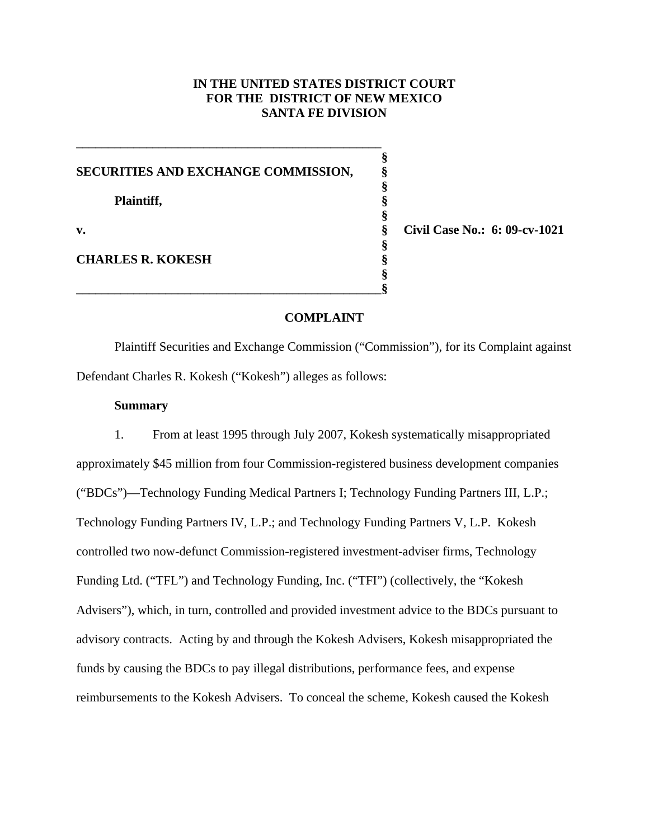## **IN THE UNITED STATES DISTRICT COURT FOR THE DISTRICT OF NEW MEXICO SANTA FE DIVISION**

| SECURITIES AND EXCHANGE COMMISSION, |                               |
|-------------------------------------|-------------------------------|
| Plaintiff,                          |                               |
| v.                                  | Civil Case No.: 6: 09-cv-1021 |
| <b>CHARLES R. KOKESH</b>            |                               |
|                                     |                               |

**\_\_\_\_\_\_\_\_\_\_\_\_\_\_\_\_\_\_\_\_\_\_\_\_\_\_\_\_\_\_\_\_\_\_\_\_\_\_\_\_\_\_\_\_\_\_\_\_** 

## **COMPLAINT**

Plaintiff Securities and Exchange Commission ("Commission"), for its Complaint against Defendant Charles R. Kokesh ("Kokesh") alleges as follows:

## **Summary**

1. From at least 1995 through July 2007, Kokesh systematically misappropriated approximately \$45 million from four Commission-registered business development companies ("BDCs")—Technology Funding Medical Partners I; Technology Funding Partners III, L.P.; Technology Funding Partners IV, L.P.; and Technology Funding Partners V, L.P. Kokesh controlled two now-defunct Commission-registered investment-adviser firms, Technology Funding Ltd. ("TFL") and Technology Funding, Inc. ("TFI") (collectively, the "Kokesh Advisers"), which, in turn, controlled and provided investment advice to the BDCs pursuant to advisory contracts. Acting by and through the Kokesh Advisers, Kokesh misappropriated the funds by causing the BDCs to pay illegal distributions, performance fees, and expense reimbursements to the Kokesh Advisers. To conceal the scheme, Kokesh caused the Kokesh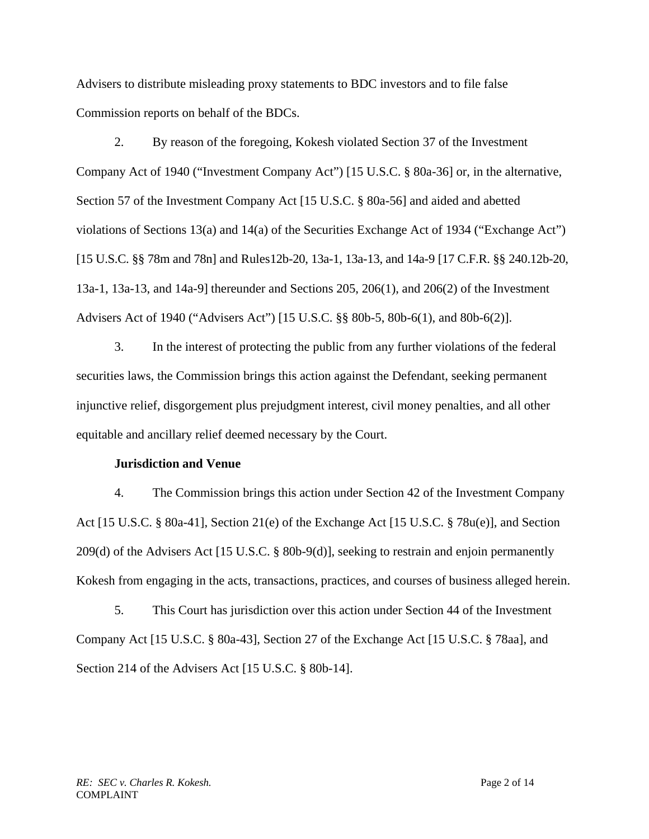Advisers to distribute misleading proxy statements to BDC investors and to file false Commission reports on behalf of the BDCs.

2. By reason of the foregoing, Kokesh violated Section 37 of the Investment Company Act of 1940 ("Investment Company Act") [15 U.S.C. § 80a-36] or, in the alternative, Section 57 of the Investment Company Act [15 U.S.C. § 80a-56] and aided and abetted violations of Sections 13(a) and 14(a) of the Securities Exchange Act of 1934 ("Exchange Act") [15 U.S.C. §§ 78m and 78n] and Rules12b-20, 13a-1, 13a-13, and 14a-9 [17 C.F.R. §§ 240.12b-20, 13a-1, 13a-13, and 14a-9] thereunder and Sections 205, 206(1), and 206(2) of the Investment Advisers Act of 1940 ("Advisers Act") [15 U.S.C. §§ 80b-5, 80b-6(1), and 80b-6(2)].

3. In the interest of protecting the public from any further violations of the federal securities laws, the Commission brings this action against the Defendant, seeking permanent injunctive relief, disgorgement plus prejudgment interest, civil money penalties, and all other equitable and ancillary relief deemed necessary by the Court.

### **Jurisdiction and Venue**

4. The Commission brings this action under Section 42 of the Investment Company Act [15 U.S.C. § 80a-41], Section 21(e) of the Exchange Act [15 U.S.C. § 78u(e)], and Section 209(d) of the Advisers Act [15 U.S.C. § 80b-9(d)], seeking to restrain and enjoin permanently Kokesh from engaging in the acts, transactions, practices, and courses of business alleged herein.

5. This Court has jurisdiction over this action under Section 44 of the Investment Company Act [15 U.S.C. § 80a-43], Section 27 of the Exchange Act [15 U.S.C. § 78aa], and Section 214 of the Advisers Act [15 U.S.C. § 80b-14].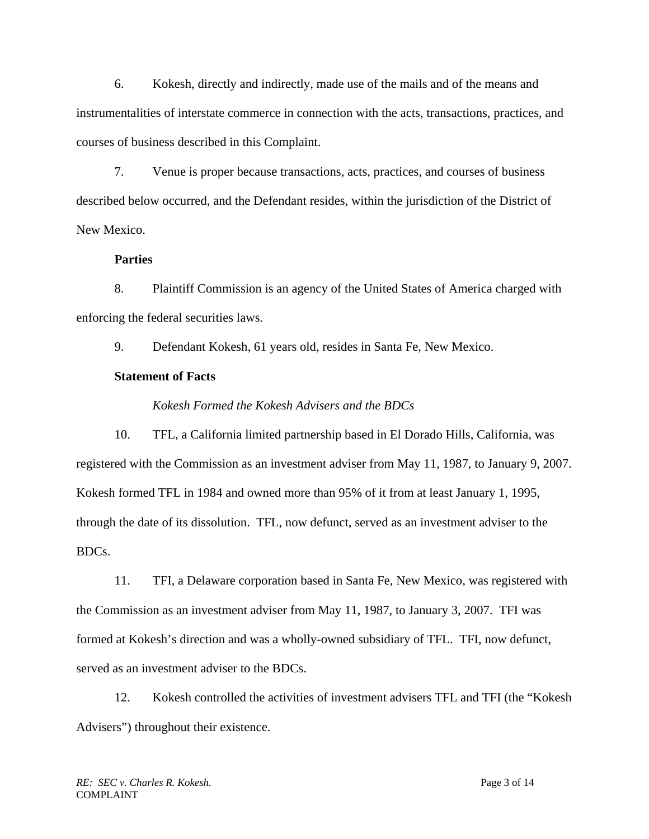6. Kokesh, directly and indirectly, made use of the mails and of the means and instrumentalities of interstate commerce in connection with the acts, transactions, practices, and courses of business described in this Complaint.

7. Venue is proper because transactions, acts, practices, and courses of business described below occurred, and the Defendant resides, within the jurisdiction of the District of New Mexico.

## **Parties**

8. Plaintiff Commission is an agency of the United States of America charged with enforcing the federal securities laws.

9. Defendant Kokesh, 61 years old, resides in Santa Fe, New Mexico.

# **Statement of Facts**

# *Kokesh Formed the Kokesh Advisers and the BDCs*

10. TFL, a California limited partnership based in El Dorado Hills, California, was registered with the Commission as an investment adviser from May 11, 1987, to January 9, 2007. Kokesh formed TFL in 1984 and owned more than 95% of it from at least January 1, 1995, through the date of its dissolution. TFL, now defunct, served as an investment adviser to the BDCs.

11. TFI, a Delaware corporation based in Santa Fe, New Mexico, was registered with the Commission as an investment adviser from May 11, 1987, to January 3, 2007. TFI was formed at Kokesh's direction and was a wholly-owned subsidiary of TFL. TFI, now defunct, served as an investment adviser to the BDCs.

12. Kokesh controlled the activities of investment advisers TFL and TFI (the "Kokesh Advisers") throughout their existence.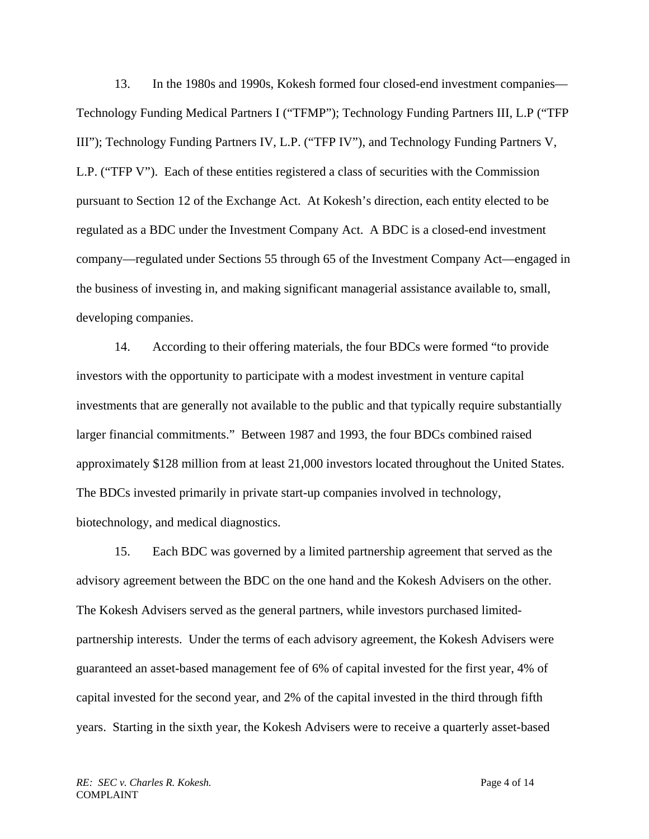13. In the 1980s and 1990s, Kokesh formed four closed-end investment companies— Technology Funding Medical Partners I ("TFMP"); Technology Funding Partners III, L.P ("TFP III"); Technology Funding Partners IV, L.P. ("TFP IV"), and Technology Funding Partners V, L.P. ("TFP V"). Each of these entities registered a class of securities with the Commission pursuant to Section 12 of the Exchange Act. At Kokesh's direction, each entity elected to be regulated as a BDC under the Investment Company Act. A BDC is a closed-end investment company—regulated under Sections 55 through 65 of the Investment Company Act—engaged in the business of investing in, and making significant managerial assistance available to, small, developing companies.

14. According to their offering materials, the four BDCs were formed "to provide investors with the opportunity to participate with a modest investment in venture capital investments that are generally not available to the public and that typically require substantially larger financial commitments." Between 1987 and 1993, the four BDCs combined raised approximately \$128 million from at least 21,000 investors located throughout the United States. The BDCs invested primarily in private start-up companies involved in technology, biotechnology, and medical diagnostics.

15. Each BDC was governed by a limited partnership agreement that served as the advisory agreement between the BDC on the one hand and the Kokesh Advisers on the other. The Kokesh Advisers served as the general partners, while investors purchased limitedpartnership interests. Under the terms of each advisory agreement, the Kokesh Advisers were guaranteed an asset-based management fee of 6% of capital invested for the first year, 4% of capital invested for the second year, and 2% of the capital invested in the third through fifth years. Starting in the sixth year, the Kokesh Advisers were to receive a quarterly asset-based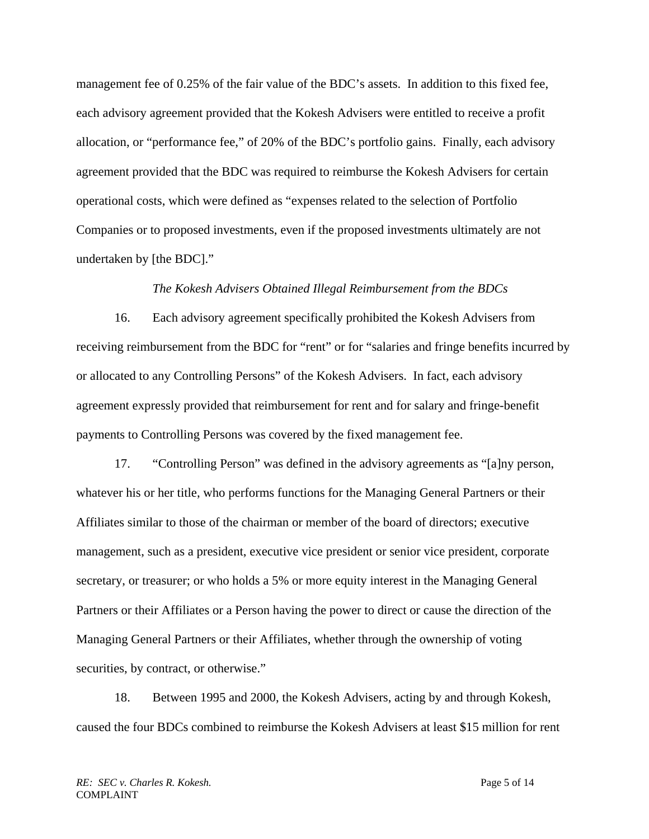management fee of 0.25% of the fair value of the BDC's assets. In addition to this fixed fee, each advisory agreement provided that the Kokesh Advisers were entitled to receive a profit allocation, or "performance fee," of 20% of the BDC's portfolio gains. Finally, each advisory agreement provided that the BDC was required to reimburse the Kokesh Advisers for certain operational costs, which were defined as "expenses related to the selection of Portfolio Companies or to proposed investments, even if the proposed investments ultimately are not undertaken by [the BDC]."

### *The Kokesh Advisers Obtained Illegal Reimbursement from the BDCs*

16. Each advisory agreement specifically prohibited the Kokesh Advisers from receiving reimbursement from the BDC for "rent" or for "salaries and fringe benefits incurred by or allocated to any Controlling Persons" of the Kokesh Advisers. In fact, each advisory agreement expressly provided that reimbursement for rent and for salary and fringe-benefit payments to Controlling Persons was covered by the fixed management fee.

17. "Controlling Person" was defined in the advisory agreements as "[a]ny person, whatever his or her title, who performs functions for the Managing General Partners or their Affiliates similar to those of the chairman or member of the board of directors; executive management, such as a president, executive vice president or senior vice president, corporate secretary, or treasurer; or who holds a 5% or more equity interest in the Managing General Partners or their Affiliates or a Person having the power to direct or cause the direction of the Managing General Partners or their Affiliates, whether through the ownership of voting securities, by contract, or otherwise."

18. Between 1995 and 2000, the Kokesh Advisers, acting by and through Kokesh, caused the four BDCs combined to reimburse the Kokesh Advisers at least \$15 million for rent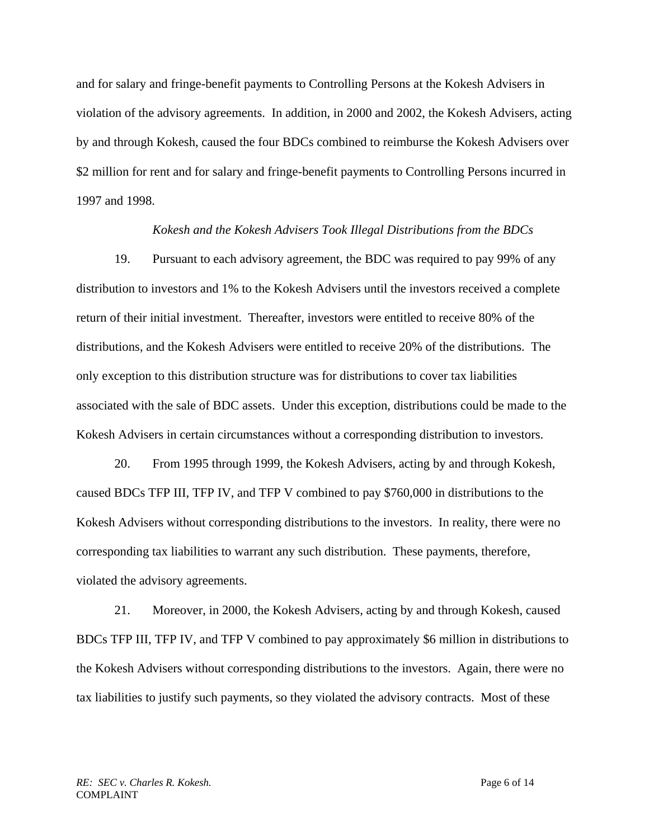and for salary and fringe-benefit payments to Controlling Persons at the Kokesh Advisers in violation of the advisory agreements. In addition, in 2000 and 2002, the Kokesh Advisers, acting by and through Kokesh, caused the four BDCs combined to reimburse the Kokesh Advisers over \$2 million for rent and for salary and fringe-benefit payments to Controlling Persons incurred in 1997 and 1998.

### *Kokesh and the Kokesh Advisers Took Illegal Distributions from the BDCs*

19. Pursuant to each advisory agreement, the BDC was required to pay 99% of any distribution to investors and 1% to the Kokesh Advisers until the investors received a complete return of their initial investment. Thereafter, investors were entitled to receive 80% of the distributions, and the Kokesh Advisers were entitled to receive 20% of the distributions. The only exception to this distribution structure was for distributions to cover tax liabilities associated with the sale of BDC assets. Under this exception, distributions could be made to the Kokesh Advisers in certain circumstances without a corresponding distribution to investors.

20. From 1995 through 1999, the Kokesh Advisers, acting by and through Kokesh, caused BDCs TFP III, TFP IV, and TFP V combined to pay \$760,000 in distributions to the Kokesh Advisers without corresponding distributions to the investors. In reality, there were no corresponding tax liabilities to warrant any such distribution. These payments, therefore, violated the advisory agreements.

21. Moreover, in 2000, the Kokesh Advisers, acting by and through Kokesh, caused BDCs TFP III, TFP IV, and TFP V combined to pay approximately \$6 million in distributions to the Kokesh Advisers without corresponding distributions to the investors. Again, there were no tax liabilities to justify such payments, so they violated the advisory contracts. Most of these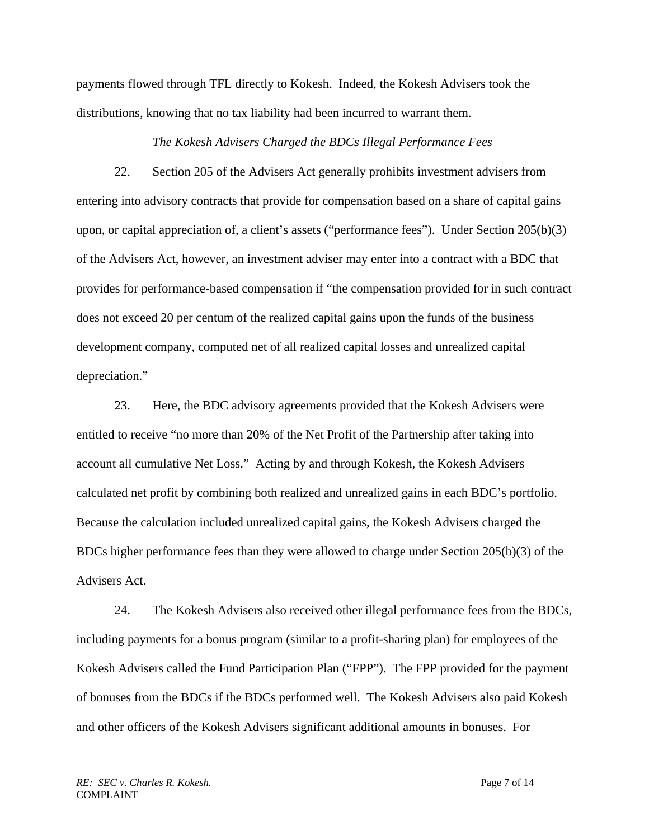payments flowed through TFL directly to Kokesh. Indeed, the Kokesh Advisers took the distributions, knowing that no tax liability had been incurred to warrant them.

## *The Kokesh Advisers Charged the BDCs Illegal Performance Fees*

22. Section 205 of the Advisers Act generally prohibits investment advisers from entering into advisory contracts that provide for compensation based on a share of capital gains upon, or capital appreciation of, a client's assets ("performance fees"). Under Section 205(b)(3) of the Advisers Act, however, an investment adviser may enter into a contract with a BDC that provides for performance-based compensation if "the compensation provided for in such contract does not exceed 20 per centum of the realized capital gains upon the funds of the business development company, computed net of all realized capital losses and unrealized capital depreciation."

23. Here, the BDC advisory agreements provided that the Kokesh Advisers were entitled to receive "no more than 20% of the Net Profit of the Partnership after taking into account all cumulative Net Loss." Acting by and through Kokesh, the Kokesh Advisers calculated net profit by combining both realized and unrealized gains in each BDC's portfolio. Because the calculation included unrealized capital gains, the Kokesh Advisers charged the BDCs higher performance fees than they were allowed to charge under Section 205(b)(3) of the Advisers Act.

24. The Kokesh Advisers also received other illegal performance fees from the BDCs, including payments for a bonus program (similar to a profit-sharing plan) for employees of the Kokesh Advisers called the Fund Participation Plan ("FPP"). The FPP provided for the payment of bonuses from the BDCs if the BDCs performed well. The Kokesh Advisers also paid Kokesh and other officers of the Kokesh Advisers significant additional amounts in bonuses. For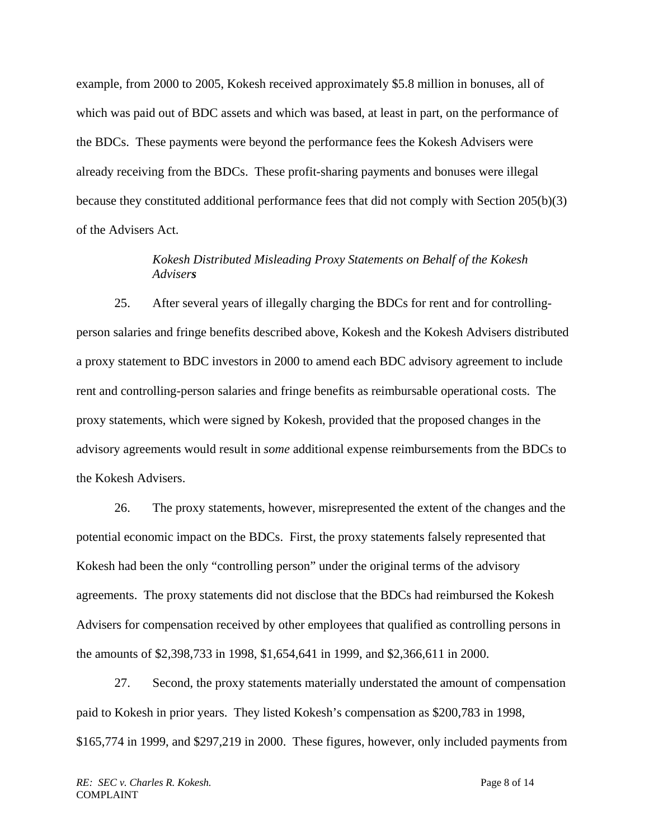example, from 2000 to 2005, Kokesh received approximately \$5.8 million in bonuses, all of which was paid out of BDC assets and which was based, at least in part, on the performance of the BDCs. These payments were beyond the performance fees the Kokesh Advisers were already receiving from the BDCs. These profit-sharing payments and bonuses were illegal because they constituted additional performance fees that did not comply with Section 205(b)(3) of the Advisers Act.

## *Advisers Kokesh Distributed Misleading Proxy Statements on Behalf of the Kokesh*

25. After several years of illegally charging the BDCs for rent and for controllingperson salaries and fringe benefits described above, Kokesh and the Kokesh Advisers distributed a proxy statement to BDC investors in 2000 to amend each BDC advisory agreement to include rent and controlling-person salaries and fringe benefits as reimbursable operational costs. The proxy statements, which were signed by Kokesh, provided that the proposed changes in the advisory agreements would result in *some* additional expense reimbursements from the BDCs to the Kokesh Advisers.

26. The proxy statements, however, misrepresented the extent of the changes and the potential economic impact on the BDCs. First, the proxy statements falsely represented that Kokesh had been the only "controlling person" under the original terms of the advisory agreements. The proxy statements did not disclose that the BDCs had reimbursed the Kokesh Advisers for compensation received by other employees that qualified as controlling persons in the amounts of \$2,398,733 in 1998, \$1,654,641 in 1999, and \$2,366,611 in 2000.

27. Second, the proxy statements materially understated the amount of compensation paid to Kokesh in prior years. They listed Kokesh's compensation as \$200,783 in 1998, \$165,774 in 1999, and \$297,219 in 2000. These figures, however, only included payments from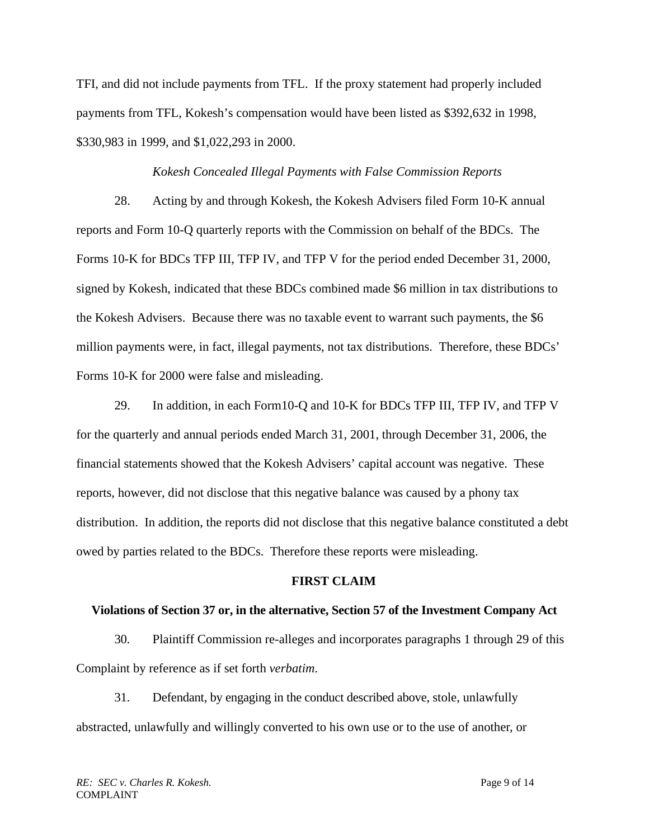TFI, and did not include payments from TFL. If the proxy statement had properly included payments from TFL, Kokesh's compensation would have been listed as \$392,632 in 1998, \$330,983 in 1999, and \$1,022,293 in 2000.

## *Kokesh Concealed Illegal Payments with False Commission Reports*

28. Acting by and through Kokesh, the Kokesh Advisers filed Form 10-K annual reports and Form 10-Q quarterly reports with the Commission on behalf of the BDCs. The Forms 10-K for BDCs TFP III, TFP IV, and TFP V for the period ended December 31, 2000, signed by Kokesh, indicated that these BDCs combined made \$6 million in tax distributions to the Kokesh Advisers. Because there was no taxable event to warrant such payments, the \$6 million payments were, in fact, illegal payments, not tax distributions. Therefore, these BDCs' Forms 10-K for 2000 were false and misleading.

29. In addition, in each Form10-Q and 10-K for BDCs TFP III, TFP IV, and TFP V for the quarterly and annual periods ended March 31, 2001, through December 31, 2006, the financial statements showed that the Kokesh Advisers' capital account was negative. These reports, however, did not disclose that this negative balance was caused by a phony tax distribution. In addition, the reports did not disclose that this negative balance constituted a debt owed by parties related to the BDCs. Therefore these reports were misleading.

### **FIRST CLAIM**

#### **Violations of Section 37 or, in the alternative, Section 57 of the Investment Company Act**

30. Plaintiff Commission re-alleges and incorporates paragraphs 1 through 29 of this Complaint by reference as if set forth *verbatim*.

 31. Defendant, by engaging in the conduct described above, stole, unlawfully abstracted, unlawfully and willingly converted to his own use or to the use of another, or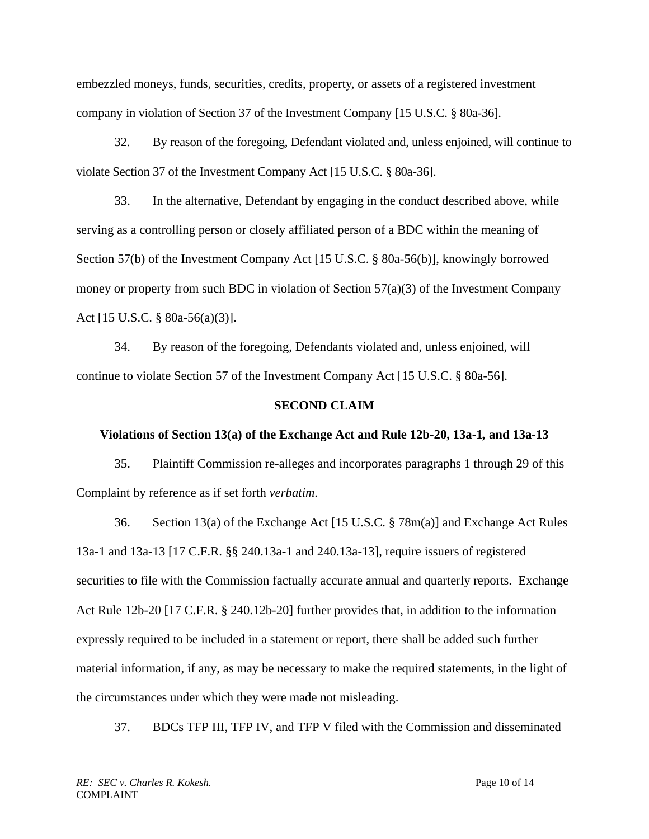embezzled moneys, funds, securities, credits, property, or assets of a registered investment company in violation of Section 37 of the Investment Company [15 U.S.C. § 80a-36].

32. By reason of the foregoing, Defendant violated and, unless enjoined, will continue to violate Section 37 of the Investment Company Act [15 U.S.C. § 80a-36].

33. In the alternative, Defendant by engaging in the conduct described above, while serving as a controlling person or closely affiliated person of a BDC within the meaning of Section 57(b) of the Investment Company Act [15 U.S.C. § 80a-56(b)], knowingly borrowed money or property from such BDC in violation of Section 57(a)(3) of the Investment Company Act [15 U.S.C. § 80a-56(a)(3)].

34. By reason of the foregoing, Defendants violated and, unless enjoined, will continue to violate Section 57 of the Investment Company Act [15 U.S.C. § 80a-56].

## **SECOND CLAIM**

### **Violations of Section 13(a) of the Exchange Act and Rule 12b-20, 13a-1***,* **and 13a-13**

35. Plaintiff Commission re-alleges and incorporates paragraphs 1 through 29 of this Complaint by reference as if set forth *verbatim*.

36. Section 13(a) of the Exchange Act [15 U.S.C. § 78m(a)] and Exchange Act Rules 13a-1 and 13a-13 [17 C.F.R. §§ 240.13a-1 and 240.13a-13], require issuers of registered securities to file with the Commission factually accurate annual and quarterly reports. Exchange Act Rule 12b-20 [17 C.F.R. § 240.12b-20] further provides that, in addition to the information expressly required to be included in a statement or report, there shall be added such further material information, if any, as may be necessary to make the required statements, in the light of the circumstances under which they were made not misleading.

37. BDCs TFP III, TFP IV, and TFP V filed with the Commission and disseminated

*RE: SEC v. Charles R. Kokesh.* Page 10 of 14 COMPLAINT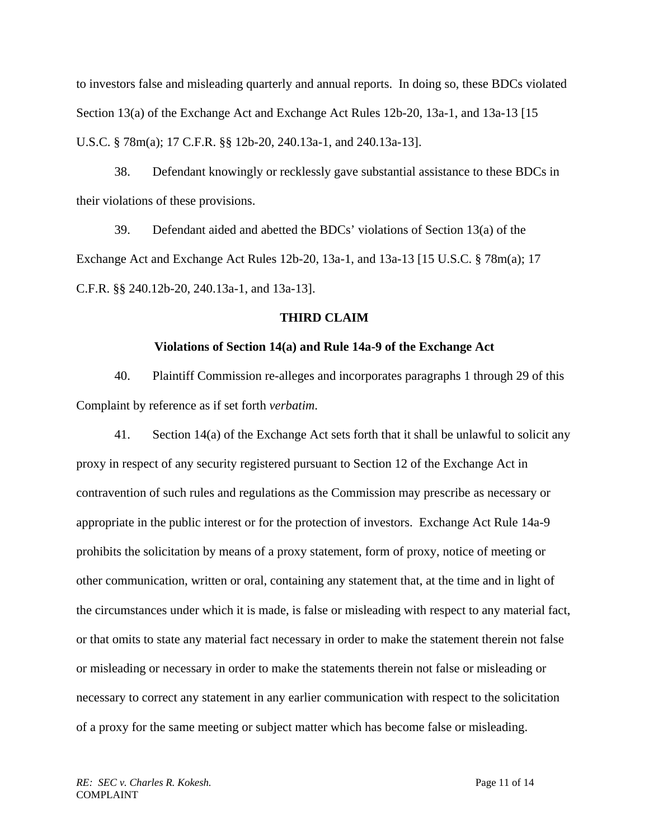to investors false and misleading quarterly and annual reports. In doing so, these BDCs violated Section 13(a) of the Exchange Act and Exchange Act Rules 12b-20, 13a-1, and 13a-13 [15 U.S.C. § 78m(a); 17 C.F.R. §§ 12b-20, 240.13a-1, and 240.13a-13].

38. Defendant knowingly or recklessly gave substantial assistance to these BDCs in their violations of these provisions.

39. Defendant aided and abetted the BDCs' violations of Section 13(a) of the Exchange Act and Exchange Act Rules 12b-20, 13a-1, and 13a-13 [15 U.S.C. § 78m(a); 17 C.F.R. §§ 240.12b-20, 240.13a-1, and 13a-13].

## **THIRD CLAIM**

## **Violations of Section 14(a) and Rule 14a-9 of the Exchange Act**

40. Plaintiff Commission re-alleges and incorporates paragraphs 1 through 29 of this Complaint by reference as if set forth *verbatim*.

41. Section 14(a) of the Exchange Act sets forth that it shall be unlawful to solicit any proxy in respect of any security registered pursuant to Section 12 of the Exchange Act in contravention of such rules and regulations as the Commission may prescribe as necessary or appropriate in the public interest or for the protection of investors. Exchange Act Rule 14a-9 prohibits the solicitation by means of a proxy statement, form of proxy, notice of meeting or other communication, written or oral, containing any statement that, at the time and in light of the circumstances under which it is made, is false or misleading with respect to any material fact, or that omits to state any material fact necessary in order to make the statement therein not false or misleading or necessary in order to make the statements therein not false or misleading or necessary to correct any statement in any earlier communication with respect to the solicitation of a proxy for the same meeting or subject matter which has become false or misleading.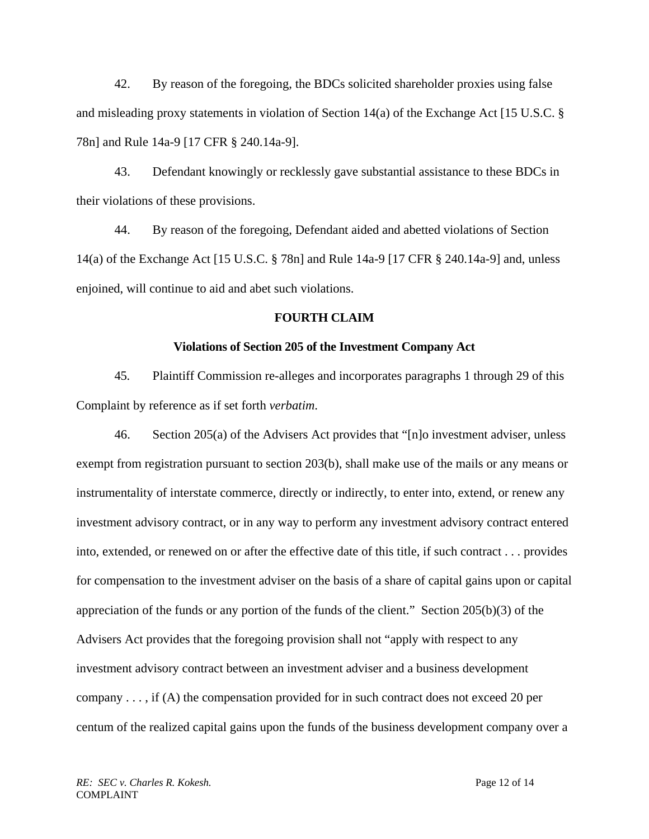42. By reason of the foregoing, the BDCs solicited shareholder proxies using false and misleading proxy statements in violation of Section 14(a) of the Exchange Act [15 U.S.C. § 78n] and Rule 14a-9 [17 CFR § 240.14a-9].

43. Defendant knowingly or recklessly gave substantial assistance to these BDCs in their violations of these provisions.

44. By reason of the foregoing, Defendant aided and abetted violations of Section 14(a) of the Exchange Act [15 U.S.C. § 78n] and Rule 14a-9 [17 CFR § 240.14a-9] and, unless enjoined, will continue to aid and abet such violations.

## **FOURTH CLAIM**

### **Violations of Section 205 of the Investment Company Act**

45. Plaintiff Commission re-alleges and incorporates paragraphs 1 through 29 of this Complaint by reference as if set forth *verbatim*.

46. Section 205(a) of the Advisers Act provides that "[n]o investment adviser, unless exempt from registration pursuant to section 203(b), shall make use of the mails or any means or instrumentality of interstate commerce, directly or indirectly, to enter into, extend, or renew any investment advisory contract, or in any way to perform any investment advisory contract entered into, extended, or renewed on or after the effective date of this title, if such contract . . . provides for compensation to the investment adviser on the basis of a share of capital gains upon or capital appreciation of the funds or any portion of the funds of the client." Section 205(b)(3) of the Advisers Act provides that the foregoing provision shall not "apply with respect to any investment advisory contract between an investment adviser and a business development company  $\dots$ , if (A) the compensation provided for in such contract does not exceed 20 per centum of the realized capital gains upon the funds of the business development company over a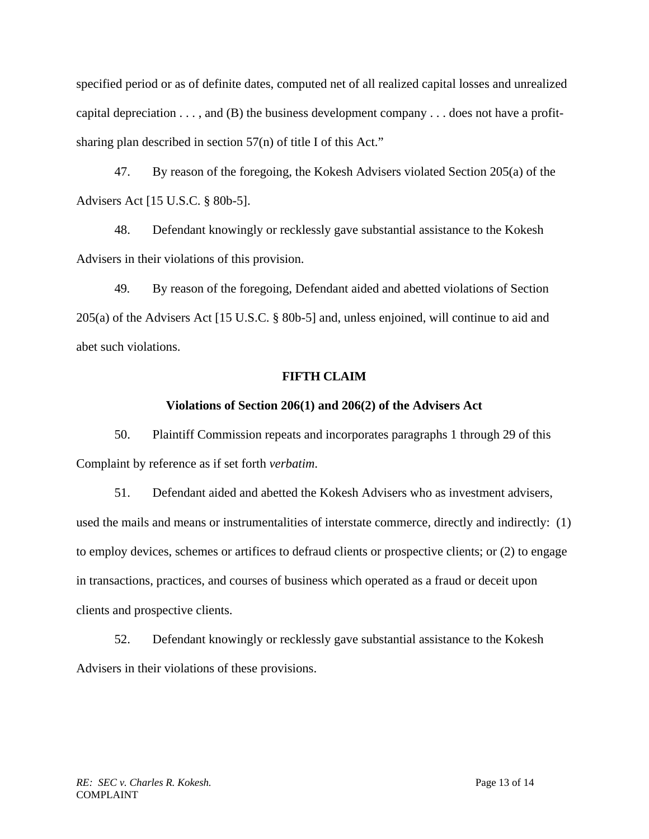specified period or as of definite dates, computed net of all realized capital losses and unrealized capital depreciation  $\dots$ , and (B) the business development company  $\dots$  does not have a profitsharing plan described in section 57(n) of title I of this Act."

47. By reason of the foregoing, the Kokesh Advisers violated Section 205(a) of the Advisers Act [15 U.S.C. § 80b-5].

48. Defendant knowingly or recklessly gave substantial assistance to the Kokesh Advisers in their violations of this provision.

49. By reason of the foregoing, Defendant aided and abetted violations of Section 205(a) of the Advisers Act [15 U.S.C. § 80b-5] and, unless enjoined, will continue to aid and abet such violations.

## **FIFTH CLAIM**

## **Violations of Section 206(1) and 206(2) of the Advisers Act**

50. Plaintiff Commission repeats and incorporates paragraphs 1 through 29 of this Complaint by reference as if set forth *verbatim*.

51. Defendant aided and abetted the Kokesh Advisers who as investment advisers, used the mails and means or instrumentalities of interstate commerce, directly and indirectly: (1) to employ devices, schemes or artifices to defraud clients or prospective clients; or (2) to engage in transactions, practices, and courses of business which operated as a fraud or deceit upon clients and prospective clients.

52. Defendant knowingly or recklessly gave substantial assistance to the Kokesh Advisers in their violations of these provisions.